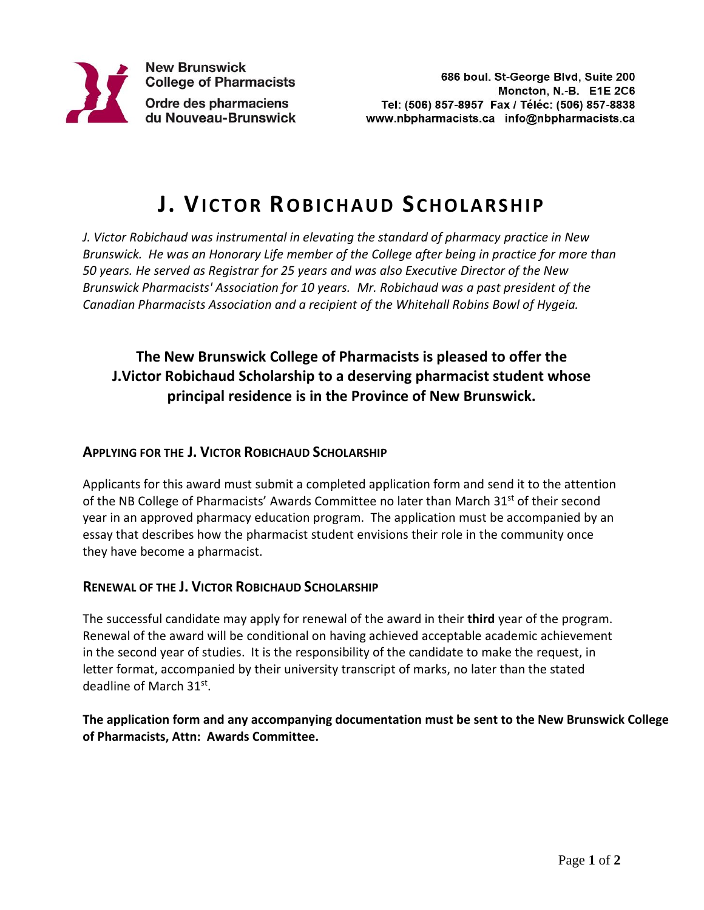

# **J. VI C T O R RO B I C H A U D SC H O L A R S H I P**

*J. Victor Robichaud was instrumental in elevating the standard of pharmacy practice in New Brunswick. He was an Honorary Life member of the College after being in practice for more than 50 years. He served as Registrar for 25 years and was also Executive Director of the New Brunswick Pharmacists' Association for 10 years. Mr. Robichaud was a past president of the Canadian Pharmacists Association and a recipient of the Whitehall Robins Bowl of Hygeia.* 

### **The New Brunswick College of Pharmacists is pleased to offer the J.Victor Robichaud Scholarship to a deserving pharmacist student whose principal residence is in the Province of New Brunswick.**

#### **APPLYING FOR THE J. VICTOR ROBICHAUD SCHOLARSHIP**

Applicants for this award must submit a completed application form and send it to the attention of the NB College of Pharmacists' Awards Committee no later than March 31<sup>st</sup> of their second year in an approved pharmacy education program. The application must be accompanied by an essay that describes how the pharmacist student envisions their role in the community once they have become a pharmacist.

#### **RENEWAL OF THE J. VICTOR ROBICHAUD SCHOLARSHIP**

The successful candidate may apply for renewal of the award in their **third** year of the program. Renewal of the award will be conditional on having achieved acceptable academic achievement in the second year of studies. It is the responsibility of the candidate to make the request, in letter format, accompanied by their university transcript of marks, no later than the stated deadline of March 31st.

#### **The application form and any accompanying documentation must be sent to the New Brunswick College of Pharmacists, Attn: Awards Committee.**